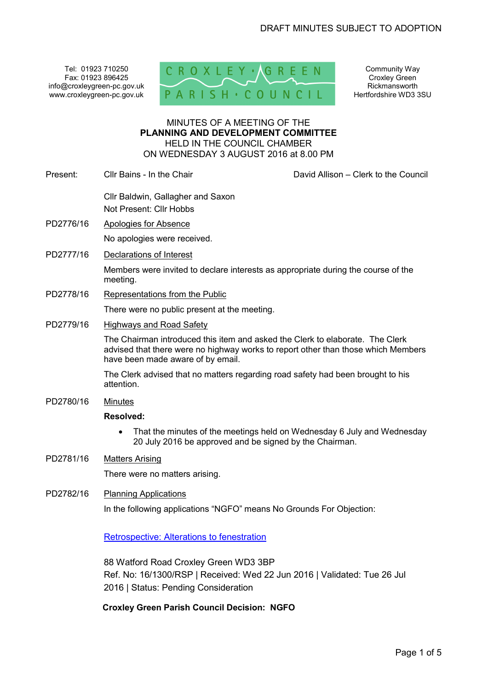Tel: 01923 710250 Fax: 01923 896425 info@croxleygreen-pc.gov.uk www.croxleygreen-pc.gov.uk



Community Way Croxley Green Rickmansworth Hertfordshire WD3 3SU

#### MINUTES OF A MEETING OF THE **PLANNING AND DEVELOPMENT COMMITTEE** HELD IN THE COUNCIL CHAMBER ON WEDNESDAY 3 AUGUST 2016 at 8.00 PM

Present: Cllr Bains - In the Chair David Allison – Clerk to the Council

- Cllr Baldwin, Gallagher and Saxon Not Present: Cllr Hobbs
- PD2776/16 Apologies for Absence

No apologies were received.

PD2777/16 Declarations of Interest

Members were invited to declare interests as appropriate during the course of the meeting.

PD2778/16 Representations from the Public

There were no public present at the meeting.

PD2779/16 Highways and Road Safety

The Chairman introduced this item and asked the Clerk to elaborate. The Clerk advised that there were no highway works to report other than those which Members have been made aware of by email.

The Clerk advised that no matters regarding road safety had been brought to his attention.

PD2780/16 Minutes

#### **Resolved:**

- That the minutes of the meetings held on Wednesday 6 July and Wednesday 20 July 2016 be approved and be signed by the Chairman.
- PD2781/16 Matters Arising

There were no matters arising.

PD2782/16 Planning Applications

In the following applications "NGFO" means No Grounds For Objection:

Retrospective: Alterations to fenestration

88 Watford Road Croxley Green WD3 3BP Ref. No: 16/1300/RSP | Received: Wed 22 Jun 2016 | Validated: Tue 26 Jul 2016 | Status: Pending Consideration

**Croxley Green Parish Council Decision: NGFO**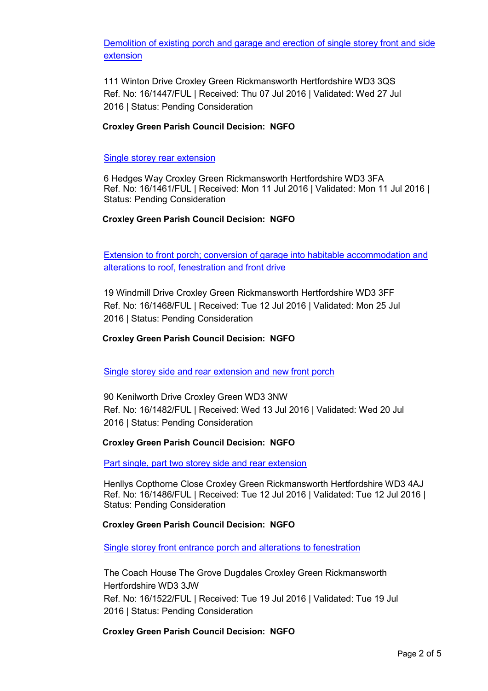Demolition of existing porch and garage and erection of single storey front and side extension

111 Winton Drive Croxley Green Rickmansworth Hertfordshire WD3 3QS Ref. No: 16/1447/FUL | Received: Thu 07 Jul 2016 | Validated: Wed 27 Jul 2016 | Status: Pending Consideration

## **Croxley Green Parish Council Decision: NGFO**

#### Single storey rear extension

6 Hedges Way Croxley Green Rickmansworth Hertfordshire WD3 3FA Ref. No: 16/1461/FUL | Received: Mon 11 Jul 2016 | Validated: Mon 11 Jul 2016 | Status: Pending Consideration

### **Croxley Green Parish Council Decision: NGFO**

Extension to front porch; conversion of garage into habitable accommodation and alterations to roof, fenestration and front drive

19 Windmill Drive Croxley Green Rickmansworth Hertfordshire WD3 3FF Ref. No: 16/1468/FUL | Received: Tue 12 Jul 2016 | Validated: Mon 25 Jul 2016 | Status: Pending Consideration

### **Croxley Green Parish Council Decision: NGFO**

### Single storey side and rear extension and new front porch

90 Kenilworth Drive Croxley Green WD3 3NW Ref. No: 16/1482/FUL | Received: Wed 13 Jul 2016 | Validated: Wed 20 Jul 2016 | Status: Pending Consideration

### **Croxley Green Parish Council Decision: NGFO**

Part single, part two storey side and rear extension

Henllys Copthorne Close Croxley Green Rickmansworth Hertfordshire WD3 4AJ Ref. No: 16/1486/FUL | Received: Tue 12 Jul 2016 | Validated: Tue 12 Jul 2016 | Status: Pending Consideration

### **Croxley Green Parish Council Decision: NGFO**

Single storey front entrance porch and alterations to fenestration

The Coach House The Grove Dugdales Croxley Green Rickmansworth Hertfordshire WD3 3JW Ref. No: 16/1522/FUL | Received: Tue 19 Jul 2016 | Validated: Tue 19 Jul 2016 | Status: Pending Consideration

**Croxley Green Parish Council Decision: NGFO**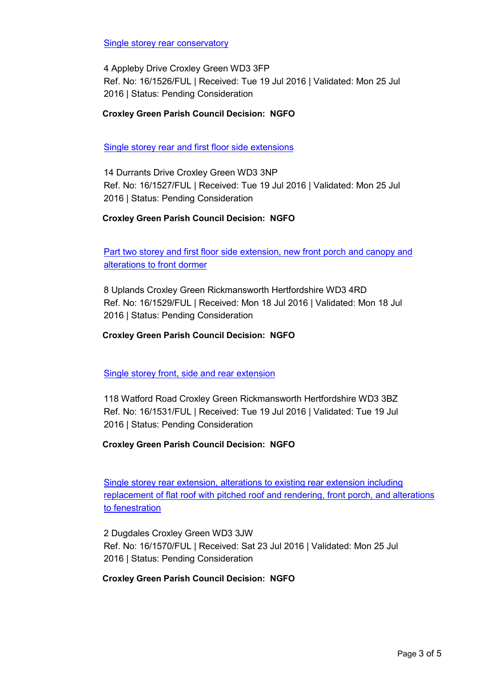Single storey rear conservatory

4 Appleby Drive Croxley Green WD3 3FP Ref. No: 16/1526/FUL | Received: Tue 19 Jul 2016 | Validated: Mon 25 Jul 2016 | Status: Pending Consideration

## **Croxley Green Parish Council Decision: NGFO**

Single storey rear and first floor side extensions

14 Durrants Drive Croxley Green WD3 3NP Ref. No: 16/1527/FUL | Received: Tue 19 Jul 2016 | Validated: Mon 25 Jul 2016 | Status: Pending Consideration

## **Croxley Green Parish Council Decision: NGFO**

Part two storey and first floor side extension, new front porch and canopy and alterations to front dormer

8 Uplands Croxley Green Rickmansworth Hertfordshire WD3 4RD Ref. No: 16/1529/FUL | Received: Mon 18 Jul 2016 | Validated: Mon 18 Jul 2016 | Status: Pending Consideration

### **Croxley Green Parish Council Decision: NGFO**

Single storey front, side and rear extension

118 Watford Road Croxley Green Rickmansworth Hertfordshire WD3 3BZ Ref. No: 16/1531/FUL | Received: Tue 19 Jul 2016 | Validated: Tue 19 Jul 2016 | Status: Pending Consideration

### **Croxley Green Parish Council Decision: NGFO**

Single storey rear extension, alterations to existing rear extension including replacement of flat roof with pitched roof and rendering, front porch, and alterations to fenestration

2 Dugdales Croxley Green WD3 3JW Ref. No: 16/1570/FUL | Received: Sat 23 Jul 2016 | Validated: Mon 25 Jul 2016 | Status: Pending Consideration

### **Croxley Green Parish Council Decision: NGFO**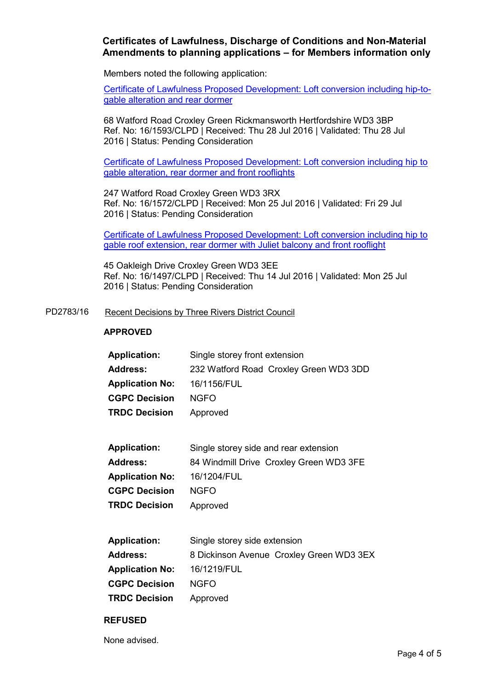# **Certificates of Lawfulness, Discharge of Conditions and Non-Material Amendments to planning applications – for Members information only**

Members noted the following application:

Certificate of Lawfulness Proposed Development: Loft conversion including hip-togable alteration and rear dormer

68 Watford Road Croxley Green Rickmansworth Hertfordshire WD3 3BP Ref. No: 16/1593/CLPD | Received: Thu 28 Jul 2016 | Validated: Thu 28 Jul 2016 | Status: Pending Consideration

Certificate of Lawfulness Proposed Development: Loft conversion including hip to gable alteration, rear dormer and front rooflights

247 Watford Road Croxley Green WD3 3RX Ref. No: 16/1572/CLPD | Received: Mon 25 Jul 2016 | Validated: Fri 29 Jul 2016 | Status: Pending Consideration

Certificate of Lawfulness Proposed Development: Loft conversion including hip to gable roof extension, rear dormer with Juliet balcony and front rooflight

45 Oakleigh Drive Croxley Green WD3 3EE Ref. No: 16/1497/CLPD | Received: Thu 14 Jul 2016 | Validated: Mon 25 Jul 2016 | Status: Pending Consideration

#### PD2783/16 Recent Decisions by Three Rivers District Council

#### **APPROVED**

| <b>Application:</b>    | Single storey front extension          |
|------------------------|----------------------------------------|
| <b>Address:</b>        | 232 Watford Road Croxley Green WD3 3DD |
| <b>Application No:</b> | 16/1156/FUL                            |
| <b>CGPC Decision</b>   | NGFO.                                  |
| <b>TRDC Decision</b>   | Approved                               |

| <b>Application:</b>    | Single storey side and rear extension   |
|------------------------|-----------------------------------------|
| <b>Address:</b>        | 84 Windmill Drive Croxley Green WD3 3FE |
| <b>Application No:</b> | 16/1204/FUL                             |
| <b>CGPC Decision</b>   | NGFO.                                   |
| <b>TRDC Decision</b>   | Approved                                |

| <b>Application:</b>    | Single storey side extension             |
|------------------------|------------------------------------------|
| <b>Address:</b>        | 8 Dickinson Avenue Croxley Green WD3 3EX |
| <b>Application No:</b> | 16/1219/FUL                              |
| <b>CGPC Decision</b>   | NGFO.                                    |
| <b>TRDC Decision</b>   | Approved                                 |

#### **REFUSED**

None advised.